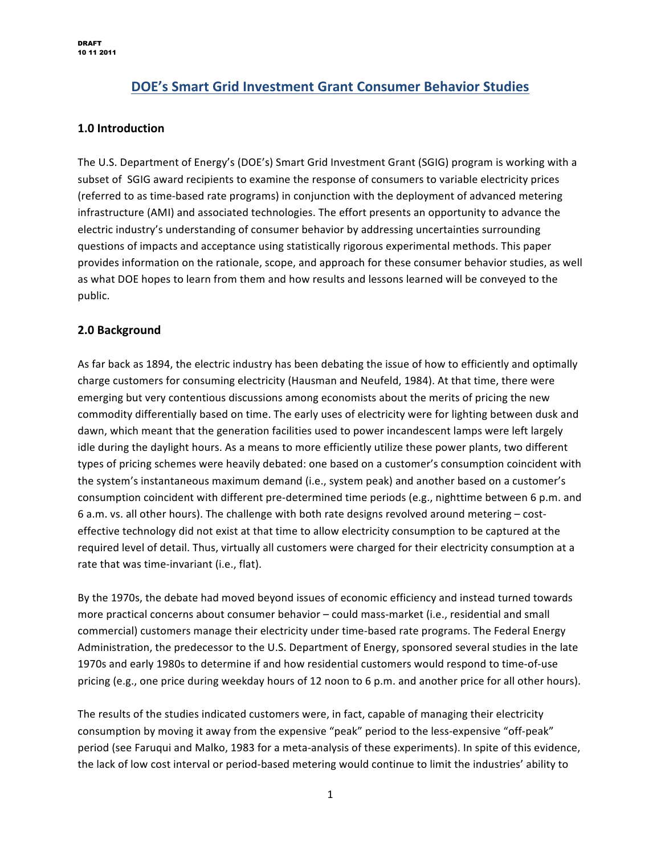# **DOE's Smart Grid Investment Grant Consumer Behavior Studies**

### **1.0&Introduction**

The U.S. Department of Energy's (DOE's) Smart Grid Investment Grant (SGIG) program is working with a subset of SGIG award recipients to examine the response of consumers to variable electricity prices (referred to as time-based rate programs) in conjunction with the deployment of advanced metering infrastructure (AMI) and associated technologies. The effort presents an opportunity to advance the electric industry's understanding of consumer behavior by addressing uncertainties surrounding questions of impacts and acceptance using statistically rigorous experimental methods. This paper provides information on the rationale, scope, and approach for these consumer behavior studies, as well as what DOE hopes to learn from them and how results and lessons learned will be conveyed to the public.

### **2.0 Background**

As far back as 1894, the electric industry has been debating the issue of how to efficiently and optimally charge customers for consuming electricity (Hausman and Neufeld, 1984). At that time, there were emerging but very contentious discussions among economists about the merits of pricing the new commodity differentially based on time. The early uses of electricity were for lighting between dusk and dawn, which meant that the generation facilities used to power incandescent lamps were left largely idle during the daylight hours. As a means to more efficiently utilize these power plants, two different types of pricing schemes were heavily debated: one based on a customer's consumption coincident with the system's instantaneous maximum demand (i.e., system peak) and another based on a customer's consumption coincident with different pre-determined time periods (e.g., nighttime between 6 p.m. and 6 a.m. vs. all other hours). The challenge with both rate designs revolved around metering – costeffective technology did not exist at that time to allow electricity consumption to be captured at the required level of detail. Thus, virtually all customers were charged for their electricity consumption at a rate that was time-invariant (i.e., flat).

By the 1970s, the debate had moved beyond issues of economic efficiency and instead turned towards more practical concerns about consumer behavior – could mass-market (i.e., residential and small commercial) customers manage their electricity under time-based rate programs. The Federal Energy Administration, the predecessor to the U.S. Department of Energy, sponsored several studies in the late 1970s and early 1980s to determine if and how residential customers would respond to time-of-use pricing (e.g., one price during weekday hours of 12 noon to 6 p.m. and another price for all other hours).

The results of the studies indicated customers were, in fact, capable of managing their electricity consumption by moving it away from the expensive "peak" period to the less-expensive "off-peak" period (see Faruqui and Malko, 1983 for a meta-analysis of these experiments). In spite of this evidence, the lack of low cost interval or period-based metering would continue to limit the industries' ability to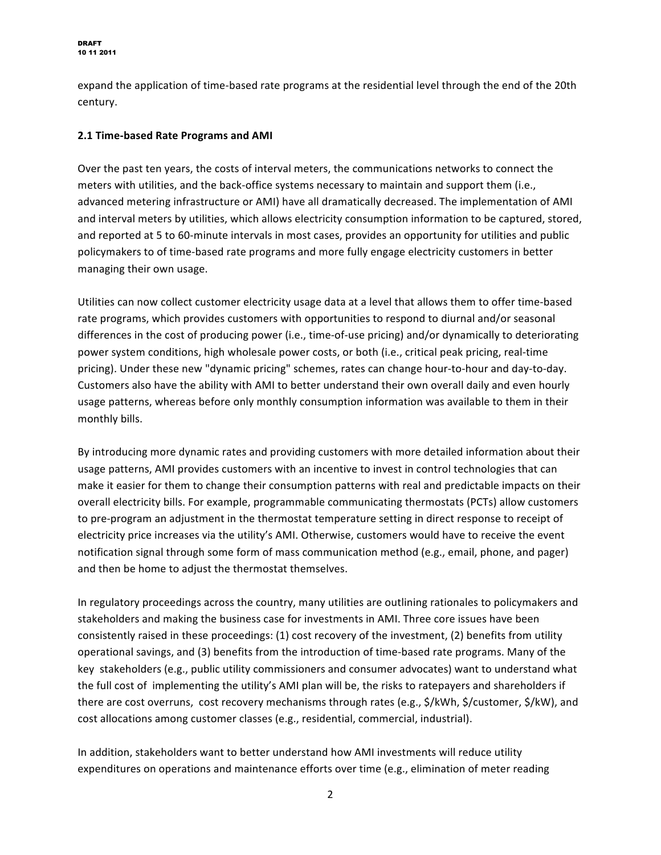expand the application of time-based rate programs at the residential level through the end of the 20th century.

### **2.1 Time-based Rate Programs and AMI**

Over the past ten years, the costs of interval meters, the communications networks to connect the meters with utilities, and the back-office systems necessary to maintain and support them (i.e., advanced metering infrastructure or AMI) have all dramatically decreased. The implementation of AMI and interval meters by utilities, which allows electricity consumption information to be captured, stored, and reported at 5 to 60-minute intervals in most cases, provides an opportunity for utilities and public policymakers to of time-based rate programs and more fully engage electricity customers in better managing their own usage.

Utilities can now collect customer electricity usage data at a level that allows them to offer time-based rate programs, which provides customers with opportunities to respond to diurnal and/or seasonal differences in the cost of producing power (i.e., time-of-use pricing) and/or dynamically to deteriorating power system conditions, high wholesale power costs, or both (i.e., critical peak pricing, real-time pricing). Under these new "dynamic pricing" schemes, rates can change hour-to-hour and day-to-day. Customers also have the ability with AMI to better understand their own overall daily and even hourly usage patterns, whereas before only monthly consumption information was available to them in their monthly bills.

By introducing more dynamic rates and providing customers with more detailed information about their usage patterns, AMI provides customers with an incentive to invest in control technologies that can make it easier for them to change their consumption patterns with real and predictable impacts on their overall electricity bills. For example, programmable communicating thermostats (PCTs) allow customers to pre-program an adjustment in the thermostat temperature setting in direct response to receipt of electricity price increases via the utility's AMI. Otherwise, customers would have to receive the event notification signal through some form of mass communication method (e.g., email, phone, and pager) and then be home to adjust the thermostat themselves.

In regulatory proceedings across the country, many utilities are outlining rationales to policymakers and stakeholders and making the business case for investments in AMI. Three core issues have been consistently raised in these proceedings: (1) cost recovery of the investment, (2) benefits from utility operational savings, and (3) benefits from the introduction of time-based rate programs. Many of the key stakeholders (e.g., public utility commissioners and consumer advocates) want to understand what the full cost of implementing the utility's AMI plan will be, the risks to ratepayers and shareholders if there are cost overruns, cost recovery mechanisms through rates (e.g., \$/kWh, \$/customer, \$/kW), and cost allocations among customer classes (e.g., residential, commercial, industrial).

In addition, stakeholders want to better understand how AMI investments will reduce utility expenditures on operations and maintenance efforts over time (e.g., elimination of meter reading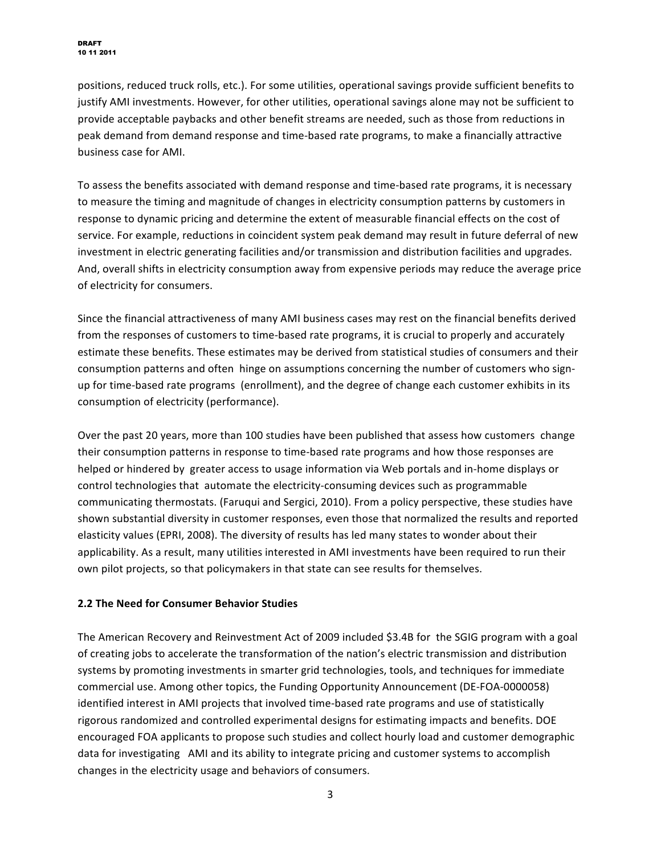positions, reduced truck rolls, etc.). For some utilities, operational savings provide sufficient benefits to justify AMI investments. However, for other utilities, operational savings alone may not be sufficient to provide acceptable paybacks and other benefit streams are needed, such as those from reductions in peak demand from demand response and time-based rate programs, to make a financially attractive business case for AMI.

To assess the benefits associated with demand response and time-based rate programs, it is necessary to measure the timing and magnitude of changes in electricity consumption patterns by customers in response to dynamic pricing and determine the extent of measurable financial effects on the cost of service. For example, reductions in coincident system peak demand may result in future deferral of new investment in electric generating facilities and/or transmission and distribution facilities and upgrades. And, overall shifts in electricity consumption away from expensive periods may reduce the average price of electricity for consumers.

Since the financial attractiveness of many AMI business cases may rest on the financial benefits derived from the responses of customers to time-based rate programs, it is crucial to properly and accurately estimate these benefits. These estimates may be derived from statistical studies of consumers and their consumption patterns and often hinge on assumptions concerning the number of customers who signup for time-based rate programs (enrollment), and the degree of change each customer exhibits in its consumption of electricity (performance).

Over the past 20 years, more than 100 studies have been published that assess how customers change their consumption patterns in response to time-based rate programs and how those responses are helped or hindered by greater access to usage information via Web portals and in-home displays or control technologies that automate the electricity-consuming devices such as programmable communicating thermostats. (Faruqui and Sergici, 2010). From a policy perspective, these studies have shown substantial diversity in customer responses, even those that normalized the results and reported elasticity values (EPRI, 2008). The diversity of results has led many states to wonder about their applicability. As a result, many utilities interested in AMI investments have been required to run their own pilot projects, so that policymakers in that state can see results for themselves.

### **2.2 The Need for Consumer Behavior Studies**

The American Recovery and Reinvestment Act of 2009 included \$3.4B for the SGIG program with a goal of creating jobs to accelerate the transformation of the nation's electric transmission and distribution systems by promoting investments in smarter grid technologies, tools, and techniques for immediate commercial use. Among other topics, the Funding Opportunity Announcement (DE-FOA-0000058) identified interest in AMI projects that involved time-based rate programs and use of statistically rigorous randomized and controlled experimental designs for estimating impacts and benefits. DOE encouraged FOA applicants to propose such studies and collect hourly load and customer demographic data for investigating AMI and its ability to integrate pricing and customer systems to accomplish changes in the electricity usage and behaviors of consumers.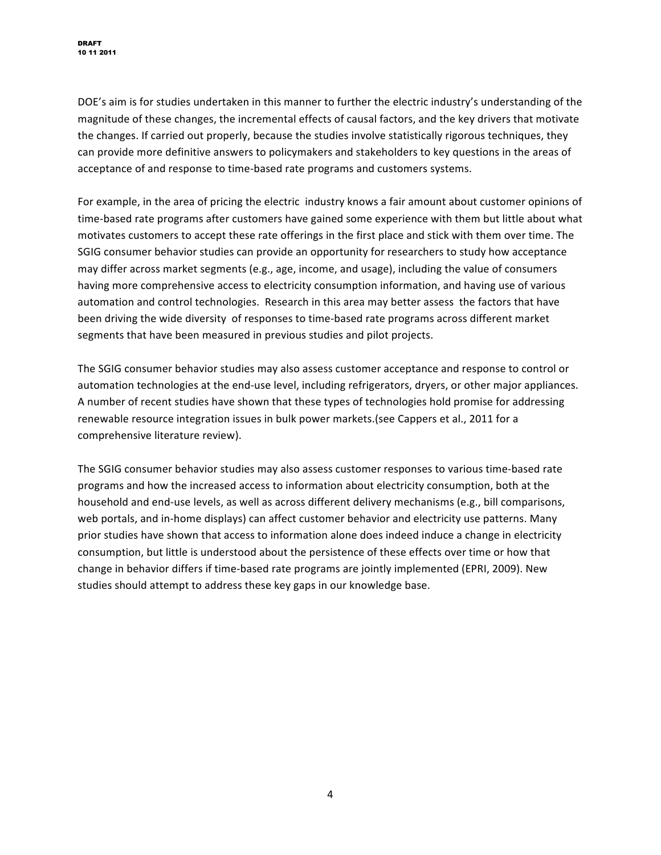DOE's aim is for studies undertaken in this manner to further the electric industry's understanding of the magnitude of these changes, the incremental effects of causal factors, and the key drivers that motivate the changes. If carried out properly, because the studies involve statistically rigorous techniques, they can provide more definitive answers to policymakers and stakeholders to key questions in the areas of acceptance of and response to time-based rate programs and customers systems.

For example, in the area of pricing the electric industry knows a fair amount about customer opinions of time-based rate programs after customers have gained some experience with them but little about what motivates customers to accept these rate offerings in the first place and stick with them over time. The SGIG consumer behavior studies can provide an opportunity for researchers to study how acceptance may differ across market segments (e.g., age, income, and usage), including the value of consumers having more comprehensive access to electricity consumption information, and having use of various automation and control technologies. Research in this area may better assess the factors that have been driving the wide diversity of responses to time-based rate programs across different market segments that have been measured in previous studies and pilot projects.

The SGIG consumer behavior studies may also assess customer acceptance and response to control or automation technologies at the end-use level, including refrigerators, dryers, or other major appliances. A number of recent studies have shown that these types of technologies hold promise for addressing renewable resource integration issues in bulk power markets.(see Cappers et al., 2011 for a comprehensive literature review).

The SGIG consumer behavior studies may also assess customer responses to various time-based rate programs and how the increased access to information about electricity consumption, both at the household and end-use levels, as well as across different delivery mechanisms (e.g., bill comparisons, web portals, and in-home displays) can affect customer behavior and electricity use patterns. Many prior studies have shown that access to information alone does indeed induce a change in electricity consumption, but little is understood about the persistence of these effects over time or how that change in behavior differs if time-based rate programs are jointly implemented (EPRI, 2009). New studies should attempt to address these key gaps in our knowledge base.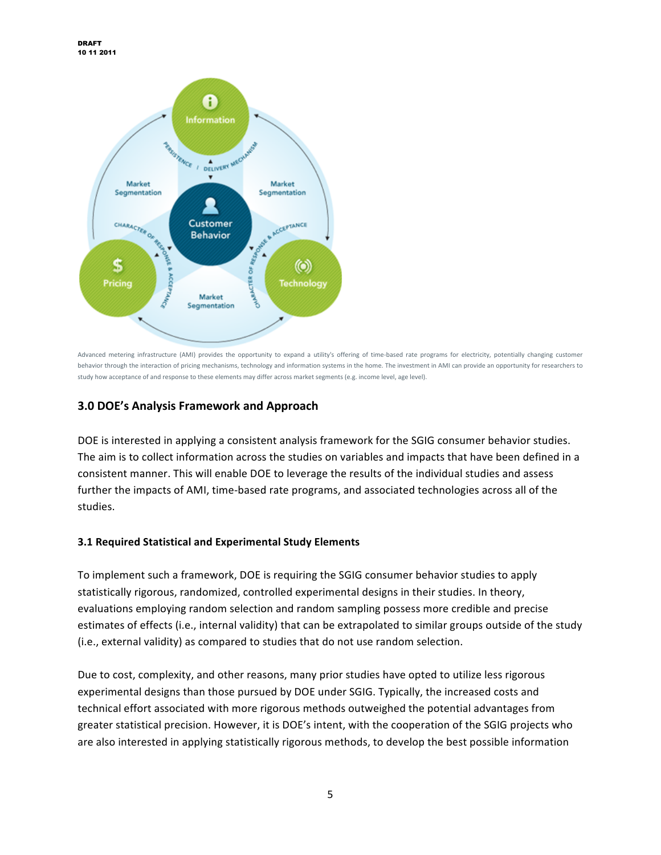

Advanced metering infrastructure (AMI) provides the opportunity to expand a utility's offering of time-based rate programs for electricity, potentially changing customer behavior through the interaction of pricing mechanisms, technology and information systems in the home. The investment in AMI can provide an opportunity for researchers to study how acceptance of and response to these elements may differ across market segments (e.g. income level, age level).

## **3.0&DOE's&Analysis&Framework&and&Approach**

DOE is interested in applying a consistent analysis framework for the SGIG consumer behavior studies. The aim is to collect information across the studies on variables and impacts that have been defined in a consistent manner. This will enable DOE to leverage the results of the individual studies and assess further the impacts of AMI, time-based rate programs, and associated technologies across all of the studies.

#### **3.1 Required Statistical and Experimental Study Elements**

To implement such a framework, DOE is requiring the SGIG consumer behavior studies to apply statistically rigorous, randomized, controlled experimental designs in their studies. In theory, evaluations employing random selection and random sampling possess more credible and precise estimates of effects (i.e., internal validity) that can be extrapolated to similar groups outside of the study (i.e., external validity) as compared to studies that do not use random selection.

Due to cost, complexity, and other reasons, many prior studies have opted to utilize less rigorous experimental designs than those pursued by DOE under SGIG. Typically, the increased costs and technical effort associated with more rigorous methods outweighed the potential advantages from greater statistical precision. However, it is DOE's intent, with the cooperation of the SGIG projects who are also interested in applying statistically rigorous methods, to develop the best possible information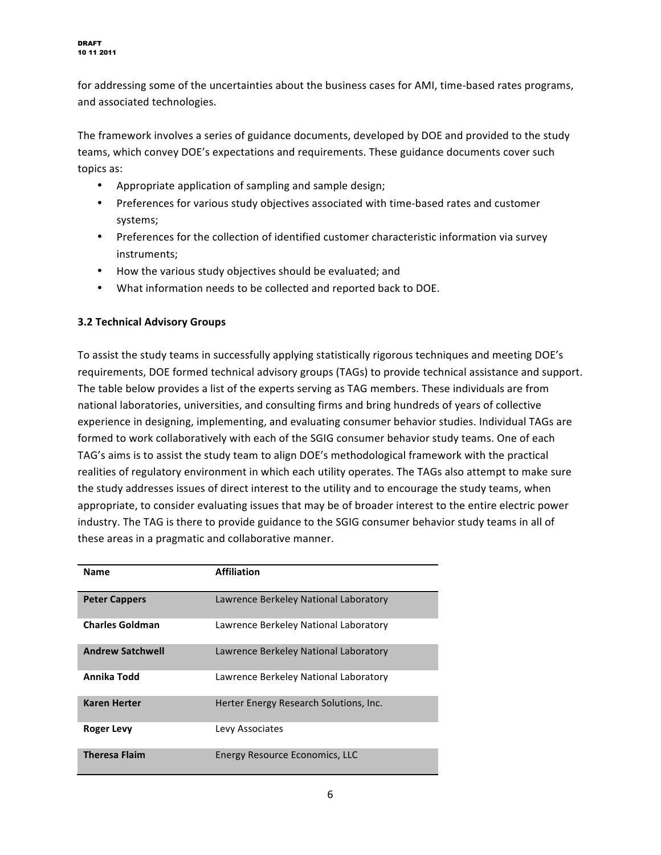for addressing some of the uncertainties about the business cases for AMI, time-based rates programs, and associated technologies.

The framework involves a series of guidance documents, developed by DOE and provided to the study teams, which convey DOE's expectations and requirements. These guidance documents cover such topics as:

- Appropriate application of sampling and sample design;
- Preferences for various study objectives associated with time-based rates and customer systems;
- Preferences for the collection of identified customer characteristic information via survey instruments:
- How the various study objectives should be evaluated; and
- What information needs to be collected and reported back to DOE.

### **3.2 Technical Advisory Groups**

To assist the study teams in successfully applying statistically rigorous techniques and meeting DOE's requirements, DOE formed technical advisory groups (TAGs) to provide technical assistance and support. The table below provides a list of the experts serving as TAG members. These individuals are from national laboratories, universities, and consulting firms and bring hundreds of years of collective experience in designing, implementing, and evaluating consumer behavior studies. Individual TAGs are formed to work collaboratively with each of the SGIG consumer behavior study teams. One of each TAG's aims is to assist the study team to align DOE's methodological framework with the practical realities of regulatory environment in which each utility operates. The TAGs also attempt to make sure the study addresses issues of direct interest to the utility and to encourage the study teams, when appropriate, to consider evaluating issues that may be of broader interest to the entire electric power industry. The TAG is there to provide guidance to the SGIG consumer behavior study teams in all of these areas in a pragmatic and collaborative manner.

| <b>Name</b>             | <b>Affiliation</b>                     |
|-------------------------|----------------------------------------|
| <b>Peter Cappers</b>    | Lawrence Berkeley National Laboratory  |
| <b>Charles Goldman</b>  | Lawrence Berkeley National Laboratory  |
| <b>Andrew Satchwell</b> | Lawrence Berkeley National Laboratory  |
| Annika Todd             | Lawrence Berkeley National Laboratory  |
| <b>Karen Herter</b>     | Herter Energy Research Solutions, Inc. |
| <b>Roger Levy</b>       | Levy Associates                        |
| <b>Theresa Flaim</b>    | Energy Resource Economics, LLC         |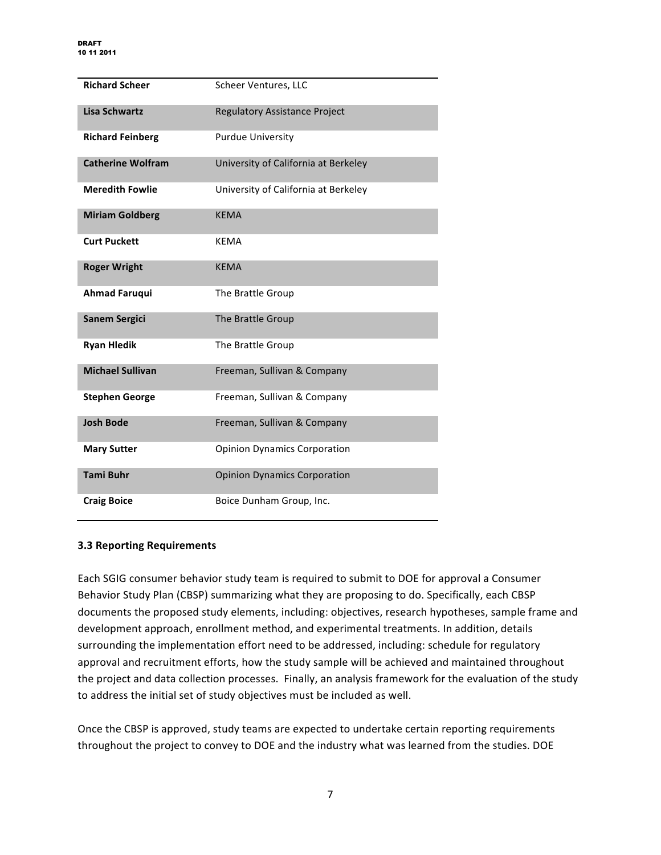| <b>Richard Scheer</b>    | Scheer Ventures, LLC                 |
|--------------------------|--------------------------------------|
| <b>Lisa Schwartz</b>     | <b>Regulatory Assistance Project</b> |
| <b>Richard Feinberg</b>  | <b>Purdue University</b>             |
| <b>Catherine Wolfram</b> | University of California at Berkeley |
| <b>Meredith Fowlie</b>   | University of California at Berkeley |
| <b>Miriam Goldberg</b>   | <b>KEMA</b>                          |
| <b>Curt Puckett</b>      | <b>KEMA</b>                          |
| <b>Roger Wright</b>      | <b>KEMA</b>                          |
| <b>Ahmad Faruqui</b>     | The Brattle Group                    |
| <b>Sanem Sergici</b>     | The Brattle Group                    |
| <b>Ryan Hledik</b>       | The Brattle Group                    |
| <b>Michael Sullivan</b>  | Freeman, Sullivan & Company          |
| <b>Stephen George</b>    | Freeman, Sullivan & Company          |
| <b>Josh Bode</b>         | Freeman, Sullivan & Company          |
| <b>Mary Sutter</b>       | <b>Opinion Dynamics Corporation</b>  |
| <b>Tami Buhr</b>         | <b>Opinion Dynamics Corporation</b>  |
| <b>Craig Boice</b>       | Boice Dunham Group, Inc.             |

#### **3.3 Reporting Requirements**

Each SGIG consumer behavior study team is required to submit to DOE for approval a Consumer Behavior Study Plan (CBSP) summarizing what they are proposing to do. Specifically, each CBSP documents the proposed study elements, including: objectives, research hypotheses, sample frame and development approach, enrollment method, and experimental treatments. In addition, details surrounding the implementation effort need to be addressed, including: schedule for regulatory approval and recruitment efforts, how the study sample will be achieved and maintained throughout the project and data collection processes. Finally, an analysis framework for the evaluation of the study to address the initial set of study objectives must be included as well.

Once the CBSP is approved, study teams are expected to undertake certain reporting requirements throughout the project to convey to DOE and the industry what was learned from the studies. DOE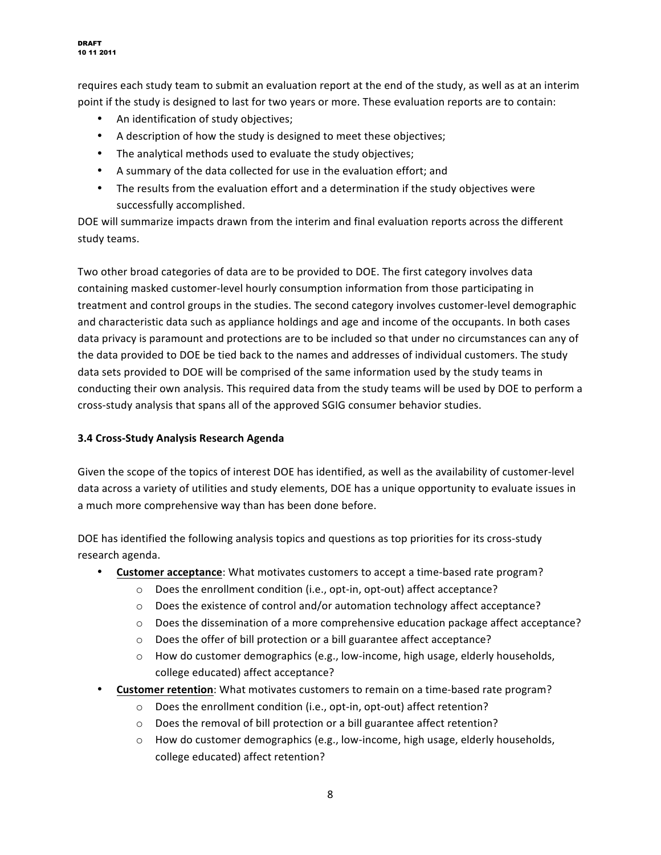requires each study team to submit an evaluation report at the end of the study, as well as at an interim point if the study is designed to last for two years or more. These evaluation reports are to contain:

- An identification of study objectives;
- A description of how the study is designed to meet these objectives;
- The analytical methods used to evaluate the study objectives;
- A summary of the data collected for use in the evaluation effort; and
- The results from the evaluation effort and a determination if the study objectives were successfully accomplished.

DOE will summarize impacts drawn from the interim and final evaluation reports across the different study teams.

Two other broad categories of data are to be provided to DOE. The first category involves data containing masked customer-level hourly consumption information from those participating in treatment and control groups in the studies. The second category involves customer-level demographic and characteristic data such as appliance holdings and age and income of the occupants. In both cases data privacy is paramount and protections are to be included so that under no circumstances can any of the data provided to DOE be tied back to the names and addresses of individual customers. The study data sets provided to DOE will be comprised of the same information used by the study teams in conducting their own analysis. This required data from the study teams will be used by DOE to perform a cross-study analysis that spans all of the approved SGIG consumer behavior studies.

### **3.4&Cross@Study&Analysis&Research&Agenda**

Given the scope of the topics of interest DOE has identified, as well as the availability of customer-level data across a variety of utilities and study elements, DOE has a unique opportunity to evaluate issues in a much more comprehensive way than has been done before.

DOE has identified the following analysis topics and questions as top priorities for its cross-study research agenda.

- **Customer acceptance:** What motivates customers to accept a time-based rate program?
	- $\circ$  Does the enrollment condition (i.e., opt-in, opt-out) affect acceptance?
	- $\circ$  Does the existence of control and/or automation technology affect acceptance?
	- $\circ$  Does the dissemination of a more comprehensive education package affect acceptance?
	- o Does the offer of bill protection or a bill guarantee affect acceptance?
	- $\circ$  How do customer demographics (e.g., low-income, high usage, elderly households, college educated) affect acceptance?
- **Customer retention**: What motivates customers to remain on a time-based rate program?
	- o Does the enrollment condition (i.e., opt-in, opt-out) affect retention?
	- $\circ$  Does the removal of bill protection or a bill guarantee affect retention?
	- $\circ$  How do customer demographics (e.g., low-income, high usage, elderly households, college educated) affect retention?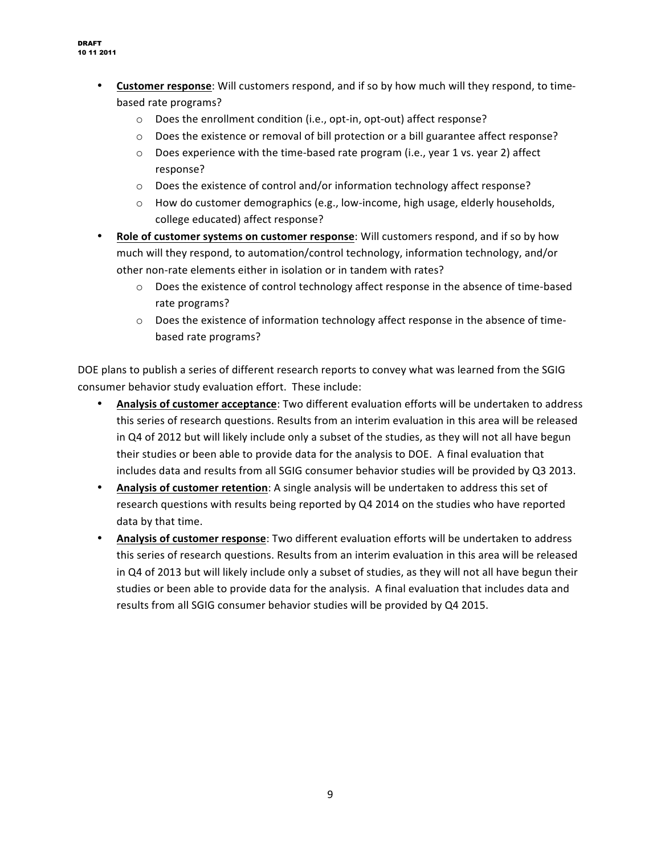- **Customer response:** Will customers respond, and if so by how much will they respond, to timebased rate programs?
	- $\circ$  Does the enrollment condition (i.e., opt-in, opt-out) affect response?
	- $\circ$  Does the existence or removal of bill protection or a bill guarantee affect response?
	- $\circ$  Does experience with the time-based rate program (i.e., year 1 vs. year 2) affect response?
	- $\circ$  Does the existence of control and/or information technology affect response?
	- $\circ$  How do customer demographics (e.g., low-income, high usage, elderly households, college educated) affect response?
- **Role of customer systems on customer response**: Will customers respond, and if so by how much will they respond, to automation/control technology, information technology, and/or other non-rate elements either in isolation or in tandem with rates?
	- o Does the existence of control technology affect response in the absence of time-based rate programs?
	- $\circ$  Does the existence of information technology affect response in the absence of timebased rate programs?

DOE plans to publish a series of different research reports to convey what was learned from the SGIG consumer behavior study evaluation effort. These include:

- Analysis of customer acceptance: Two different evaluation efforts will be undertaken to address this series of research questions. Results from an interim evaluation in this area will be released in Q4 of 2012 but will likely include only a subset of the studies, as they will not all have begun their studies or been able to provide data for the analysis to DOE. A final evaluation that includes data and results from all SGIG consumer behavior studies will be provided by Q3 2013.
- **Analysis of customer retention**: A single analysis will be undertaken to address this set of research questions with results being reported by Q4 2014 on the studies who have reported data by that time.
- **Analysis of customer response**: Two different evaluation efforts will be undertaken to address this series of research questions. Results from an interim evaluation in this area will be released in Q4 of 2013 but will likely include only a subset of studies, as they will not all have begun their studies or been able to provide data for the analysis." A final evaluation that includes data and results from all SGIG consumer behavior studies will be provided by Q4 2015.